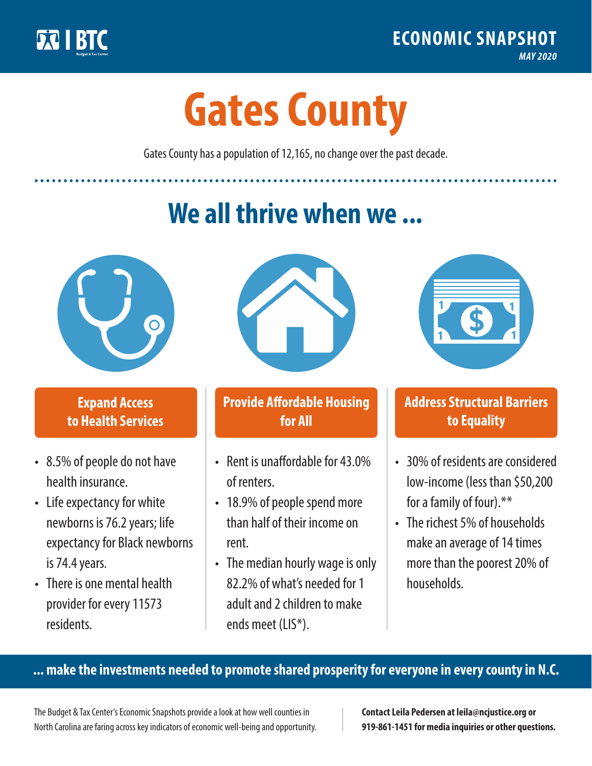

**1**

# **Gates County**

Gates County has a population of 12,165, no change over the past decade.

# **We all thrive when we ...**



**\$ <sup>1</sup>**

**\$ <sup>1</sup>**

### **Expand Access to Health Services**

- 8.5% of people do not have health insurance.
- Life expectancy for white newborns is 76.2years; life expectancy for Black newborns is 74.4years.
- There is one mental health provider for every 11573 residents.



### **Provide Affordable Housing for All**

- Rent is unaffordable for 43.0% of renters.
- 18.9% of people spend more than half of their income on rent.
- The median hourly wage is only 82.2% of what's needed for 1 adult and 2 children to make ends meet (LIS\*).



## **Address Structural Barriers to Equality**

- 30% of residents are considered low-income (less than \$50,200 for a family of four).\*\*
- The richest 5% of households make an average of 14 times more than the poorest 20% of households.

#### **... make the investments needed to promote shared prosperity for everyone in every county in N.C.**

The Budget & Tax Center's Economic Snapshots provide a look at how well counties in North Carolina are faring across key indicators of economic well-being and opportunity.